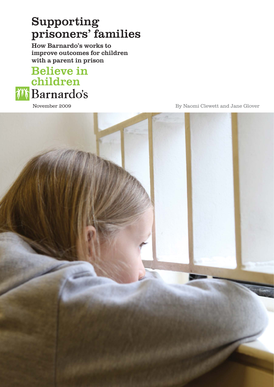# Supporting prisoners' families

How Barnardo's works to improve outcomes for children with a parent in prison

# **Believe in** children *i* **Barnardo's**

November 2009

By Naomi Clewett and Jane Glover

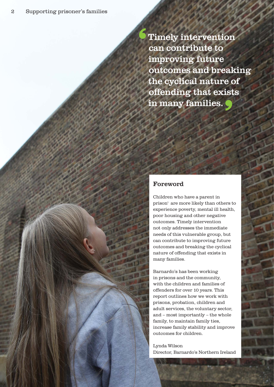Timely intervention can contribute to improving future outcomes and breaking the cyclical nature of offending that exists in many families. <mark>)</mark><br>|<br>|  $\epsilon$ 

## Foreword

Children who have a parent in prisoni are more likely than others to experience poverty, mental ill health, poor housing and other negative outcomes. Timely intervention not only addresses the immediate needs of this vulnerable group, but can contribute to improving future outcomes and breaking the cyclical nature of offending that exists in many families.

Barnardo's has been working in prisons and the community, with the children and families of offenders for over 10 years. This report outlines how we work with prisons, probation, children and adult services, the voluntary sector, and – most importantly – the whole family, to maintain family ties, increase family stability and improve outcomes for children.

Lynda Wilson Director, Barnardo's Northern Ireland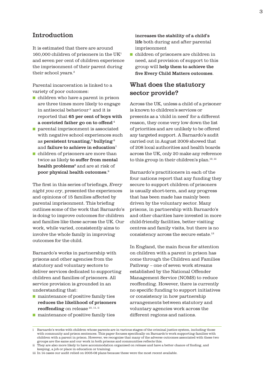## Introduction

It is estimated that there are around 160,000 children of prisoners in the  $UK<sup>1</sup>$ and seven per cent of children experience the imprisonment of their parent during their school years.<sup>2</sup>

Parental incarceration is linked to a variety of poor outcomes:

- children who have a parent in prison are three times more likely to engage in antisocial behaviour<sup>3</sup> and it is reported that 65 per cent of boys with a convicted father go on to offend  $4$
- parental imprisonment is associated with negative school experiences such as persistent truanting,<sup>5</sup> bullying<sup>6</sup> and failure to achieve in education<sup>7</sup>
- children of prisoners are more than twice as likely to suffer from mental health problems<sup>8</sup> and are at risk of  ${\bf poor~physical~health~outcomes.}$   $^{\rm 9}$

The first in this series of briefings, *Every night you cry*, presented the experiences and opinions of 15 families affected by parental imprisonment. This briefing outlines some of the work that Barnardo's is doing to improve outcomes for children and families like these across the UK. Our work, while varied, consistently aims to involve the whole family in improving outcomes for the child.

Barnardo's works in partnership with prisons and other agencies from the statutory and voluntary sectors to deliver services dedicated to supporting children and families of prisoners. All service provision is grounded in an understanding that:

■ maintenance of positive family ties reduces the likelihood of prisoners reoffending on release<sup>10, 11, ii</sup>

- increases the stability of a child's life both during and after parental imprisonment
- children of prisoners are children in need, and provision of support to this group will help them to achieve the five Every Child Matters outcomes.

## What does the statutory sector provide?

Across the UK, unless a child of a prisoner is known to children's services or presents as a 'child in need' for a different reason, they come very low down the list of priorities and are unlikely to be offered any targeted support. A Barnardo's audit carried out in August 2009 showed that of 208 local authorities and health boards across the UK, only 20 make any reference to this group in their children's plan.<sup>12, iii</sup>

Barnardo's practitioners in each of the four nations report that any funding they secure to support children of prisoners is usually short-term, and any progress that has been made has mainly been driven by the voluntary sector. Many prisons, in partnership with Barnardo's and other charities have invested in more child-friendly facilities, better visiting centres and family visits, but there is no consistency across the secure estate.13

In England, the main focus for attention on children with a parent in prison has come through the Children and Families Pathway – one of seven work streams established by the National Offender Management Service (NOMS) to reduce reoffending. However, there is currently no specific funding to support initiatives or consistency in how partnership arrangements between statutory and voluntary agencies work across the different regions and nations.

■ maintenance of positive family ties

i Barnardo's works with children whose parents are in various stages of the criminal justice system, including those with community and prison sentences. This paper focuses specifically on Barnardo's work supporting families with children with a parent in prison. However, we recognise that many of the adverse outcomes associated with these two groups are the same and our work in both prisons and communities reflects this.

ii They are also more likely to have accommodation organised on release and have a better chance of finding, and keeping, a job or place in education or training.

iii In 14 cases our audit relied on 2005-08 plans because these were the most recent available.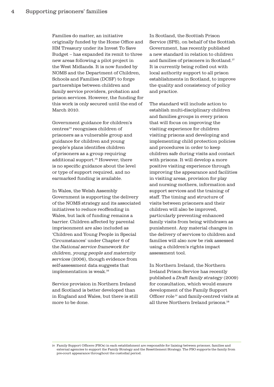Families do matter, an initiative originally funded by the Home Office and HM Treasury under its Invest To Save Budget – has expanded its remit to three new areas following a pilot project in the West Midlands. It is now funded by NOMS and the Department of Children, Schools and Families (DCSF) to forge partnerships between children and family service providers, probation and prison services. However, the funding for this work is only secured until the end of March 2010.

Government guidance for children's centres14 recognises children of prisoners as a vulnerable group and guidance for children and young people's plans identifies children of prisoners as a group requiring additional support.15 However, there is no specific guidance about the level or type of support required, and no earmarked funding is available.

In Wales, the Welsh Assembly Government is supporting the delivery of the NOMS strategy and its associated initiatives to reduce reoffending in Wales, but lack of funding remains a barrier. Children affected by parental imprisonment are also included as 'Children and Young People in Special Circumstances' under Chapter 6 of the *National service framework for children, young people and maternity services* (2006), though evidence from self-assessment data suggests that implementation is weak.<sup>16</sup>

Service provision in Northern Ireland and Scotland is better developed than in England and Wales, but there is still more to be done.

In Scotland, the Scottish Prison Service (SPS), on behalf of the Scottish Government, has recently published a new standard in relation to children and families of prisoners in Scotland.17 It is currently being rolled out with local authority support to all prison establishments in Scotland, to improve the quality and consistency of policy and practice.

The standard will include action to establish multi-disciplinary children and families groups in every prison that will focus on improving the visiting experience for children visiting prisons and developing and implementing child protection policies and procedures in order to keep children safe during visits and contact with prisons. It will develop a more positive visiting experience through improving the appearance and facilities in visiting areas, provision for play and nursing mothers, information and support services and the training of staff. The timing and structure of visits between prisoners and their children will also be improved, particularly preventing enhanced family visits from being withdrawn as punishment. Any material changes in the delivery of services to children and families will also now be risk assessed using a children's rights impact assessment tool.

In Northern Ireland, the Northern Ireland Prison Service has recently published a *Draft family strategy* (2009) for consultation, which would ensure development of the Family Support Officer role iv and family-centred visits at all three Northern Ireland prisons.<sup>18</sup>

iv Family Support Officers (FSOs) in each establishment are responsible for liaising between prisoner, families and external agencies to support the Family Strategy and the Resettlement Strategy. The FSO supports the family from pre-court appearance throughout the custodial period.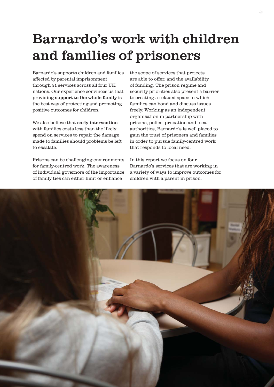# Barnardo's work with children and families of prisoners

Barnardo's supports children and families affected by parental imprisonment through 21 services across all four UK nations. Our experience convinces us that providing support to the whole family is the best way of protecting and promoting positive outcomes for children.

We also believe that early intervention with families costs less than the likely spend on services to repair the damage made to families should problems be left to escalate.

Prisons can be challenging environments for family-centred work. The awareness of individual governors of the importance of family ties can either limit or enhance

the scope of services that projects are able to offer, and the availability of funding. The prison regime and security priorities also present a barrier to creating a relaxed space in which families can bond and discuss issues freely. Working as an independent organisation in partnership with prisons, police, probation and local authorities, Barnardo's is well placed to gain the trust of prisoners and families in order to pursue family-centred work that responds to local need.

In this report we focus on four Barnardo's services that are working in a variety of ways to improve outcomes for children with a parent in prison.

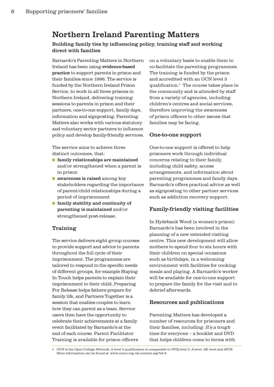## Northern Ireland Parenting Matters

Building family ties by influencing policy, training staff and working direct with families

Barnardo's Parenting Matters in Northern Ireland has been using evidence-based practice to support parents in prison and their families since 1996. The service is funded by the Northern Ireland Prison Service, to work in all three prisons in Northern Ireland, delivering training sessions to parents in prison and their partners, one-to-one support, family days, information and signposting. Parenting Matters also works with various statutory and voluntary sector partners to influence policy and develop family-friendly services.

The service aims to achieve three distinct outcomes, that:

- family relationships are maintained and/or strengthened when a parent is in prison
- awareness is raised among key stakeholders regarding the importance of parent/child relationships during a period of imprisonment
- family stability and continuity of parenting is maintained and/or strengthened post-release.

#### Training

The service delivers eight group courses to provide support and advice to parents throughout the full cycle of their imprisonment. The programmes are tailored to respond to the specific needs of different groups, for example Staying In Touch helps parents to explain their imprisonment to their child, Preparing For Release helps fathers prepare for family life, and Partners Together is a session that enables couples to learn how they can parent as a team. Service users then have the opportunity to celebrate their achievements at a family event facilitated by Barnardo's at the end of each course. Parent Facilitator Training is available for prison officers

on a voluntary basis to enable them to co-facilitate the parenting programmes. The training is funded by the prison and accredited with an OCN level 3 qualification.<sup>v</sup> The course takes place in the community and is attended by staff from a variety of agencies, including children's centres and social services, therefore improving the awareness of prison officers to other issues that families may be facing.

#### One-to-one support

One-to-one support is offered to help prisoners work through individual concerns relating to their family, including child safety, access arrangements, and information about parenting programmes and family days. Barnardo's offers practical advice as well as signposting to other partner services such as addiction recovery support.

#### Family-friendly visiting facilities

In Hydebank Wood (a women's prison) Barnardo's has been involved in the planning of a new extended visiting centre. This new development will allow mothers to spend four to six hours with their children on special occasions such as birthdays, in a welcoming environment with facilities for cooking meals and playing. A Barnardo's worker will be available for one-to-one support to prepare the family for the visit and to debrief afterwards.

#### Resources and publications

Parenting Matters has developed a number of resources for prisoners and their families, including: *It's a tough time for everyone* – a booklet and DVD that helps children come to terms with

OCN is the Open College Network. A level 3 qualification is comparable to NVQ level 3, A-level, AS- level and AVCE. More information can be found at: www.ocnni.org.uk/content.asp?id=5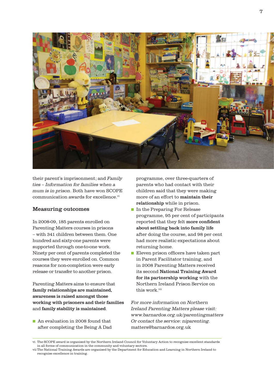

their parent's imprisonment; and *Family ties – Information for families when a mum is in prison*. Both have won SCOPE communication awards for excellence.<sup>vi</sup>

#### Measuring outcomes

In 2008-09, 185 parents enrolled on Parenting Matters courses in prisons – with 341 children between them. One hundred and sixty-one parents were supported through one-to-one work. Ninety per cent of parents completed the courses they were enrolled on. Common reasons for non-completion were early release or transfer to another prison.

Parenting Matters aims to ensure that family relationships are maintained, awareness is raised amongst those working with prisoners and their families and family stability is maintained.

■ An evaluation in 2008 found that after completing the Being A Dad programme, over three-quarters of parents who had contact with their children said that they were making more of an effort to maintain their relationship while in prison.

- In the Preparing For Release programme, 95 per cent of participants reported that they felt more confident about settling back into family life after doing the course, and 98 per cent had more realistic expectations about returning home.
- Eleven prison officers have taken part in Parent Facilitator training, and in 2008 Parenting Matters received its second National Training Award for its partnership working with the Northern Ireland Prison Service on this work vii

*For more information on Northern Ireland Parenting Matters please visit: www.barnardos.org.uk/parentingmatters Or contact the service: niparenting.* matters@barnardos.org.uk

vi The SCOPE award is organised by the Northern Ireland Council for Voluntary Action to recognise excellent standards in all forms of communication in the community and voluntary sectors.

vii The National Training Awards are organised by the Department for Education and Learning in Northern Ireland to recognise excellence in training.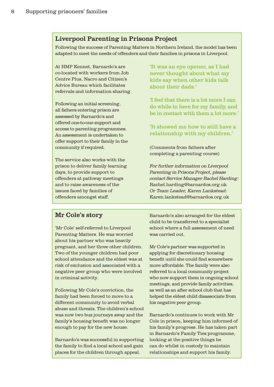## Liverpool Parenting in Prisons Project

Following the success of Parenting Matters in Northern Ireland, the model has been adapted to meet the needs of offenders and their families in prisons in Liverpool.

At HMP Kennet, Barnardo's are co-located with workers from Job Centre Plus, Nacro and Citizen's Advice Bureau which facilitates referrals and information sharing.

Following an initial screening, all fathers entering prison are assessed by Barnardo's and offered one-to-one support and access to parenting programmes. An assessment is undertaken to offer support to their family in the community if required.

The service also works with the prison to deliver family learning days, to provide support to offenders at pathway meetings and to raise awareness of the issues faced by families of offenders amongst staff.

'It was an eye opener, as I had never thought about what my kids say when other kids talk about their dads.'

'I feel that there is a lot more I can do while in here for my family, and be in contact with them a lot more.'

'It showed me how to still have a relationship with my children.'

(Comments from fathers after completing a parenting course)

*For further information on Liverpool Parenting in Prisons Project, please contact Service Manager Rachel Harding:* Rachel.harding@barnardos.org.uk *Or Team Leader, Karen Lankstead:* Karen.lankstead@barnardos.org.uk

## Mr Cole's story

'Mr Cole' self-referred to Liverpool Parenting Matters. He was worried about his partner who was heavily pregnant, and her three other children. Two of the younger children had poor school attendance and the eldest was at risk of exclusion and associated with a negative peer group who were involved in criminal activity.

Following Mr Cole's conviction, the family had been forced to move to a different community to avoid verbal abuse and threats. The children's school was now two bus journeys away and the family's housing benefit was no longer enough to pay for the new house.

Barnardo's was successful in supporting the family to find a local school and gain places for the children through appeal.

Barnardo's also arranged for the eldest child to be transferred to a specialist school where a full assessment of need was carried out.

Mr Cole's partner was supported in applying for discretionary housing benefit until she could find somewhere more affordable. The family were also referred to a local community project who now support them in ongoing school meetings, and provide family activities, as well as an after school club that has helped the eldest child disassociate from his negative peer group.

Barnardo's continues to work with Mr Cole in prison, keeping him informed of his family's progress. He has taken part in Barnardo's Family Ties programme, looking at the positive things he can do whilst in custody to maintain relationships and support his family.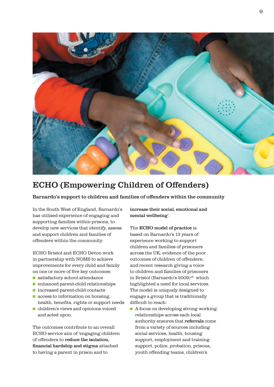

# ECHO (Empowering Children of Offenders)

Barnardo's support to children and families of offenders within the community

In the South West of England, Barnardo's has utilised experience of engaging and supporting families within prisons, to develop new services that identify, assess and support children and families of offenders within the community.

ECHO Bristol and ECHO Devon work in partnership with NOMS to achieve improvements for every child and family on one or more of five key outcomes:

- satisfactory school attendance
- enhanced parent-child relationships
- increased parent-child contacts
- access to information on housing. health, benefits, rights or support needs
- children's views and opinions voiced and acted upon.

The outcomes contribute to an overall ECHO service aim of 'engaging children of offenders to reduce the isolation. financial hardship and stigma attached to having a parent in prison and to

increase their social, emotional and mental wellbeing'.

The ECHO model of practice is based on Barnardo's 13 years of experience working to support children and families of prisoners across the UK; evidence of the poor outcomes of children of offenders; and recent research giving a voice to children and families of prisoners in Bristol (Barnardo's 2009)19 which highlighted a need for local services. The model is uniquely designed to engage a group that is traditionally difficult to reach:

■ A focus on developing strong working relationships across each local authority ensures that referrals come from a variety of sources including social services, health, housing support, employment and training support, police, probation, prisons, youth offending teams, children's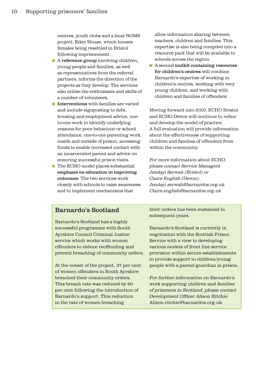centres, youth clubs and a local NOMS project, Eden House, which houses females being resettled in Bristol following imprisonment.

- A reference group involving children, young people and families, as well as representatives from the referral partners, informs the direction of the projects as they develop. The services also utilise the enthusiasm and skills of a number of volunteers.
- Interventions with families are varied and include signposting to debt, housing and employment advice, oneto-one work to identify underlying reasons for poor behaviour or school attendance, one-to-one parenting work inside and outside of prison, accessing funds to enable increased contact with an incarcerated parent and advice on ensuring successful prison visits.
- The ECHO model places substantial emphasis on education in improving outcomes. The two services work closely with schools to raise awareness and to implement mechanisms that

allow information sharing between teachers, children and families. This expertise is also being compiled into a resource pack that will be available to schools across the region.

■ A second toolkit containing resources for children's centres will combine Barnardo's expertise of working in children's centres, working with very young children, and working with children and families of offenders.

Moving forward into 2010, ECHO Bristol and ECHO Devon will continue to refine and develop the model of practice. A full evaluation will provide information about the effectiveness of supporting children and families of offenders from within the community.

*For more information about ECHO, please contact Service Managers Jendayi Serwah (Bristol) or Claire English (Devon): Jendayi.serwah@barnardos.org.uk Claire.english@barnardos.org.uk*

## Barnardo's Scotland

Barnardo's Scotland has a highly successful programme with South Ayrshire Council Criminal Justice service which works with women offenders to reduce reoffending and prevent breaching of community orders.

At the outset of the project, 37 per cent of women offenders in South Ayrshire breached their community orders. This breach rate was reduced by 60 per cent following the introduction of Barnardo's support. This reduction in the rate of women breaching

their orders has been sustained in subsequent years.

Barnardo's Scotland is currently in negotiation with the Scottish Prison Service with a view to developing various models of front line service provision within secure establishments to provide support to children/young people with a parent/guardian in prison.

*For further information on Barnardo's work supporting children and families of prisoners in Scotland, please contact Development Officer Alison Ritchie:* Alison.ritchie@barnardos.org.uk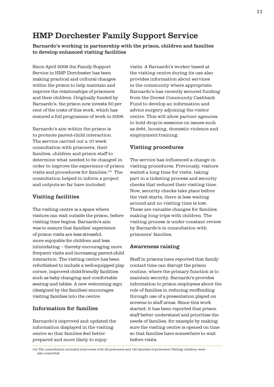## HMP Dorchester Family Support Service

Barnardo's working in partnership with the prison, children and families to develop enhanced visiting facilities

Since April 2008 the Family Support Service in HMP Dorchester has been making practical and cultural changes within the prison to help maintain and improve the relationships of prisoners and their children. Originally funded by Barnardo's, the prison now invests 50 per cent of the costs of this work, which has ensured a full programme of work in 2009.

Barnardo's aim within the prison is to promote parent-child interaction. The service carried out a 10 week consultation with prisoners, their families, children and prison staff to determine what needed to be changed in order to improve the experience of prison visits and procedures for families.<sup>viii</sup> The consultation helped to inform a project and outputs so far have included:

#### Visiting facilities

The visiting centre is a space where visitors can wait outside the prison, before visiting time begins. Barnardo's aim was to ensure that families' experience of prison visits are less stressful, more enjoyable for children and less intimidating – thereby encouraging more frequent visits and increasing parent-child interaction. The visiting centre has been refurbished to include a well-equipped play corner, improved child-friendly facilities such as baby changing and comfortable seating and tables. A new welcoming sign (designed by the families) encourages visiting families into the centre.

#### Information for families

Barnardo's improved and updated the information displayed in the visiting centre so that families feel better prepared and more likely to enjoy

visits. A Barnardo's worker based at the visiting centre during its use also provides information about services in the community where appropriate. Barnardo's has recently secured funding from the Dorset Community Cashback Fund to develop an information and advice surgery adjoining the visitor centre. This will allow partner agencies to hold drop-in sessions on issues such as debt, housing, domestic violence and employment/training.

#### Visiting procedures

The service has influenced a change in visiting procedures. Previously, visitors waited a long time for visits, taking part in a ticketing process and security checks that reduced their visiting time. Now, security checks take place before the visit starts, there is less waiting around and no visiting time is lost. These are valuable changes for families making long trips with children. The visiting process is under constant review by Barnardo's in consultation with prisoners' families.

#### Awareness raising

Staff in prisons have reported that family contact time can disrupt the prison routine, where the primary function is to maintain security. Barnardo's provides information to prison employees about the role of families in reducing reoffending through use of a presentation played on screens in staff areas. Since this work started, it has been reported that prison staff better understand and prioritise the needs of families, for example by making sure the visiting centre is opened on time so that families have somewhere to wait before visits.

*viii The consultation included interviews with 60 prisoners and 150 families of prisoners.Visiting children were also consulted.*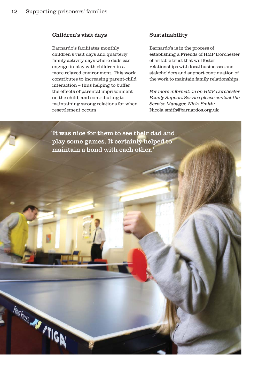#### Children's visit days

Barnardo's facilitates monthly children's visit days and quarterly family activity days where dads can engage in play with children in a more relaxed environment. This work contributes to increasing parent-child interaction – thus helping to buffer the effects of parental imprisonment on the child, and contributing to maintaining strong relations for when resettlement occurs.

#### Sustainability

Barnardo's is in the process of establishing a Friends of HMP Dorchester charitable trust that will foster relationships with local businesses and stakeholders and support continuation of the work to maintain family relationships.

*For more information on HMP Dorchester Family Support Service please contact the Service Manager, Nicki Smith:*  Nicola.smith@barnardos.org.uk

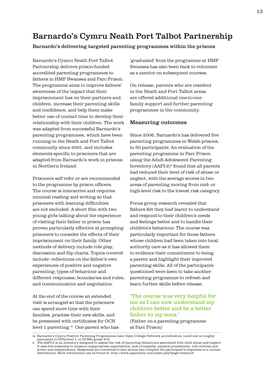## Barnardo's Cymru Neath Port Talbot Partnership

#### Barnardo's delivering targeted parenting programmes within the prisons

Barnardo's Cymru Neath Port Talbot Partnership delivers prison-funded accredited parenting programmes to fathers in HMP Swansea and Parc Prison. The programme aims to improve fathers' awareness of the impact that their imprisonment has on their partners and children, increase their parenting skills and confidence, and help them make better use of contact time to develop their relationship with their children. The work was adapted from successful Barnardo's parenting programmes, which have been running in the Neath and Port Talbot community since 2001, and includes elements specific to prisoners that are adapted from Barnardo's work in prisons in Northern Ireland.

Prisoners self refer or are recommended to the programme by prison officers. The course is interactive and requires minimal reading and writing so that prisoners with learning difficulties are not excluded. A short film with two young girls talking about the experience of visiting their father in prison has proven particularly effective at prompting prisoners to consider the effects of their imprisonment on their family. Other methods of delivery include role play, discussion and flip charts. Topics covered include: reflections on the father's own experiences of positive and negative parenting; types of behaviour and different responses; boundaries and rules; and communication and negotiation.

At the end of the course an extended visit is arranged so that the prisoners can spend more time with their families, practise their new skills, and be presented with certificates for OCN level 1 parenting.ix One parent who has 'graduated' from the programme at HMP Swansea has also been back to volunteer as a mentor on subsequent courses.

On release, parents who are resident in the Neath and Port Talbot areas are offered additional one-to-one family support and further parenting programmes in the community.

#### Measuring outcomes

Since 2006, Barnardo's has delivered five parenting programmes in Welsh prisons, to 50 participants. An evaluation of the parenting programme in Parc Prison using the Adult-Adolescent Parenting Inventory  $(AAPI-2)^x$  found that all parents had reduced their level of risk of abuse or neglect, with the average scores in two areas of parenting moving from mid- or high-level risk to the lowest risk category.

Focus group research revealed that fathers felt they had learnt to understand and respond to their children's needs and feelings better and to handle their children's behaviour. The course was particularly important for those fathers whose children had been taken into local authority care as it has allowed them to evidence their commitment to being a parent and highlight their improved parenting skills. All of the participants questioned were keen to take another parenting programme to refresh and learn further skills before release.

#### 'The course was very helpful for me as I can now understand my children better and be a better father to my sons.' (Father on a parenting programme at Parc Prison)

ix Barnardo's Cymru Positive Parenting Programmes have Open College Network accreditation. Level one is roughly equivalent to NVQ level 1, or GCSEs grade D-G.

x The AAPI-2 is an inventory designed to assess the risk of parenting behaviours associated with child abuse and neglect. It uses five subscales to measure inappropriate expectations, lack of empathy, physical punishment, role reversal and<br>power and independence. Responses are converted to sten scores that compare the participant's responses distribution. More information can be found at: http://www.aapionline.com/index.php?page=research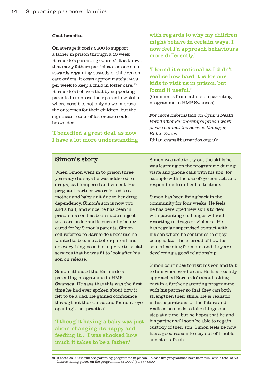#### Cost benefits

On average it costs £600 to support a father in prison through a 10 week Barnardo's parenting course.<sup>xi</sup> It is known that many fathers participate as one step towards regaining custody of children on care orders. It costs approximately £489 per week to keep a child in foster care.20 Barnardo's believes that by supporting parents to improve their parenting skills where possible, not only do we improve the outcomes for their children, but the significant costs of foster care could be avoided.

### 'I benefited a great deal, as now I have a lot more understanding

with regards to why my children might behave in certain ways. I now feel I'd approach behaviours more differently.'

## 'I found it emotional as I didn't realise how hard it is for our kids to visit us in prison, but found it useful.'

(Comments from fathers on parenting programme in HMP Swansea)

*For more information on Cymru Neath Port Talbot Partnership's prison work please contact the Service Manager, Rhian Evans:*  Rhian.evans@barnardos.org.uk

## Simon's story

When Simon went in to prison three years ago he says he was addicted to drugs, bad tempered and violent. His pregnant partner was referred to a mother and baby unit due to her drug dependency. Simon's son is now two and a half, and since he has been in prison his son has been made subject to a care order and is currently being cared for by Simon's parents. Simon self referred to Barnardo's because he wanted to become a better parent and do everything possible to prove to social services that he was fit to look after his son on release.

Simon attended the Barnardo's parenting programme in HMP Swansea. He says that this was the first time he had ever spoken about how it felt to be a dad. He gained confidence throughout the course and found it 'eyeopening' and 'practical'.

'I thought having a baby was just about changing its nappy and feeding it… I was shocked how much it takes to be a father.'

Simon was able to try out the skills he was learning on the programme during visits and phone calls with his son, for example with the use of eye contact, and responding to difficult situations.

Simon has been living back in the community for four weeks. He feels he has developed new skills to deal with parenting challenges without resorting to drugs or violence. He has regular supervised contact with his son where he continues to enjoy being a dad – he is proud of how his son is learning from him and they are developing a good relationship.

Simon continues to visit his son and talk to him whenever he can. He has recently approached Barnardo's about taking part in a further parenting programme with his partner so that they can both strengthen their skills. He is realistic in his aspirations for the future and realises he needs to take things one step at a time, but he hopes that he and his partner will soon be able to regain custody of their son. Simon feels he now has a good reason to stay out of trouble and start afresh.

xi It costs £6,000 to run one parenting programme in prison. To date five programmes have been run, with a total of 50 fathers taking places on the programme.  $\text{\pounds}6,000$  / (50/5) =  $\text{\pounds}600$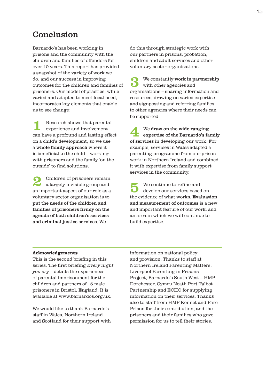# Conclusion

Barnardo's has been working in prisons and the community with the children and families of offenders for over 10 years. This report has provided a snapshot of the variety of work we do, and our success in improving outcomes for the children and families of prisoners. Our model of practice, while varied and adapted to meet local need, incorporates key elements that enable us to see change:

Research shows that parental experience and involvement can have a profound and lasting effect on a child's development, so we use a whole family approach where it is beneficial to the child – working with prisoners and the family 'on the outside' to find solutions.

2 Children of prisoners remain a largely invisible group and an important aspect of our role as a voluntary sector organisation is to put the needs of the children and families of prisoners firmly on the agenda of both children's services and criminal justice services. We

do this through strategic work with our partners in prisons, probation, children and adult services and other voluntary sector organisations.

 $\bullet$  We constantly work in partnership with other agencies and organisations – sharing information and resources, drawing on varied expertise and signposting and referring families to other agencies where their needs can be supported.

4 We draw on the wide ranging expertise of the Barnardo's family of services in developing our work. For example, services in Wales adapted a parenting programme from our prison work in Northern Ireland and combined it with expertise from family support services in the community.

We continue to refine and<br>develop our services based on the evidence of what works. Evaluation and measurement of outcomes is a new and important feature of our work, and an area in which we will continue to build expertise.

#### Acknowledgements

This is the second briefing in this series. The first briefing *Every night you cr*y – details the experiences of parental imprisonment for the children and partners of 15 male prisoners in Bristol, England. It is available at www.barnardos.org.uk.

We would like to thank Barnardo's staff in Wales, Northern Ireland and Scotland for their support with information on national policy and provision. Thanks to staff at Northern Ireland Parenting Matters, Liverpool Parenting in Prisons Project, Barnardo's South West – HMP Dorchester, Cymru Neath Port Talbot Partnership and ECHO for supplying information on their services. Thanks also to staff from HMP Kennet and Parc Prison for their contribution, and the prisoners and their families who gave permission for us to tell their stories.